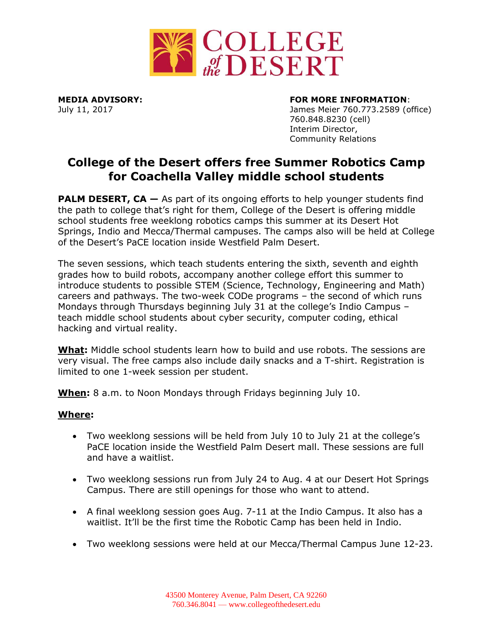

## **MEDIA ADVISORY: FOR MORE INFORMATION**:

July 11, 2017 James Meier 760.773.2589 (office) 760.848.8230 (cell) Interim Director, Community Relations

# **College of the Desert offers free Summer Robotics Camp for Coachella Valley middle school students**

**PALM DESERT, CA** – As part of its ongoing efforts to help younger students find the path to college that's right for them, College of the Desert is offering middle school students free weeklong robotics camps this summer at its Desert Hot Springs, Indio and Mecca/Thermal campuses. The camps also will be held at College of the Desert's PaCE location inside Westfield Palm Desert.

The seven sessions, which teach students entering the sixth, seventh and eighth grades how to build robots, accompany another college effort this summer to introduce students to possible STEM (Science, Technology, Engineering and Math) careers and pathways. The two-week CODe programs – the second of which runs Mondays through Thursdays beginning July 31 at the college's Indio Campus – teach middle school students about cyber security, computer coding, ethical hacking and virtual reality.

**What:** Middle school students learn how to build and use robots. The sessions are very visual. The free camps also include daily snacks and a T-shirt. Registration is limited to one 1-week session per student.

**When:** 8 a.m. to Noon Mondays through Fridays beginning July 10.

## **Where:**

- Two weeklong sessions will be held from July 10 to July 21 at the college's PaCE location inside the Westfield Palm Desert mall. These sessions are full and have a waitlist.
- Two weeklong sessions run from July 24 to Aug. 4 at our Desert Hot Springs Campus. There are still openings for those who want to attend.
- A final weeklong session goes Aug. 7-11 at the Indio Campus. It also has a waitlist. It'll be the first time the Robotic Camp has been held in Indio.
- Two weeklong sessions were held at our Mecca/Thermal Campus June 12-23.